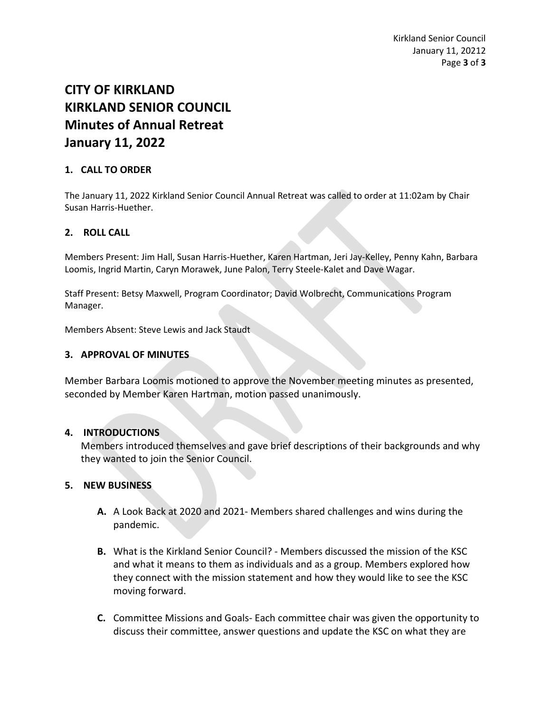# **CITY OF KIRKLAND KIRKLAND SENIOR COUNCIL Minutes of Annual Retreat January 11, 2022**

## **1. CALL TO ORDER**

The January 11, 2022 Kirkland Senior Council Annual Retreat was called to order at 11:02am by Chair Susan Harris-Huether.

## **2. ROLL CALL**

Members Present: Jim Hall, Susan Harris-Huether, Karen Hartman, Jeri Jay-Kelley, Penny Kahn, Barbara Loomis, Ingrid Martin, Caryn Morawek, June Palon, Terry Steele-Kalet and Dave Wagar.

Staff Present: Betsy Maxwell, Program Coordinator; David Wolbrecht, Communications Program Manager.

Members Absent: Steve Lewis and Jack Staudt

#### **3. APPROVAL OF MINUTES**

Member Barbara Loomis motioned to approve the November meeting minutes as presented, seconded by Member Karen Hartman, motion passed unanimously.

#### **4. INTRODUCTIONS**

Members introduced themselves and gave brief descriptions of their backgrounds and why they wanted to join the Senior Council.

#### **5. NEW BUSINESS**

- **A.** A Look Back at 2020 and 2021- Members shared challenges and wins during the pandemic.
- **B.** What is the Kirkland Senior Council? Members discussed the mission of the KSC and what it means to them as individuals and as a group. Members explored how they connect with the mission statement and how they would like to see the KSC moving forward.
- **C.** Committee Missions and Goals- Each committee chair was given the opportunity to discuss their committee, answer questions and update the KSC on what they are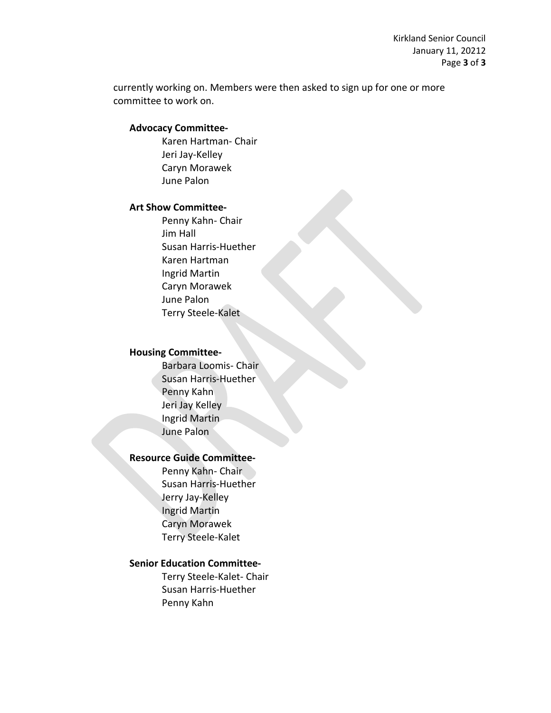Kirkland Senior Council January 11, 20212 Page **3** of **3**

currently working on. Members were then asked to sign up for one or more committee to work on.

#### **Advocacy Committee-**

Karen Hartman- Chair Jeri Jay-Kelley Caryn Morawek June Palon

#### **Art Show Committee-**

Penny Kahn- Chair Jim Hall Susan Harris-Huether Karen Hartman Ingrid Martin Caryn Morawek June Palon Terry Steele-Kalet

#### **Housing Committee-**

Barbara Loomis- Chair Susan Harris-Huether Penny Kahn Jeri Jay Kelley Ingrid Martin June Palon

## **Resource Guide Committee-**

Penny Kahn- Chair Susan Harris-Huether Jerry Jay-Kelley Ingrid Martin Caryn Morawek Terry Steele-Kalet

#### **Senior Education Committee-**

Terry Steele-Kalet- Chair Susan Harris-Huether Penny Kahn